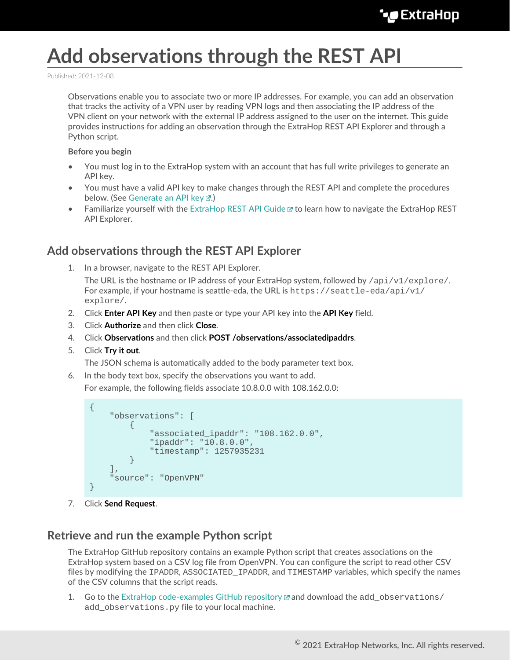## **Add observations through the REST API**

Published: 2021-12-08

Observations enable you to associate two or more IP addresses. For example, you can add an observation that tracks the activity of a VPN user by reading VPN logs and then associating the IP address of the VPN client on your network with the external IP address assigned to the user on the internet. This guide provides instructions for adding an observation through the ExtraHop REST API Explorer and through a Python script.

## **Before you begin**

- You must log in to the ExtraHop system with an account that has full write privileges to generate an API key.
- You must have a valid API key to make changes through the REST API and complete the procedures below. (See [Generate an API key](https://docs.extrahop.com/8.7/rest-api-guide/#generate-an-api-key)  $\mathbb{F}$ .)
- Familiarize yourself with the [ExtraHop REST API Guide](https://docs.extrahop.com/8.7/rest-api-guide)  $\mathbb Z$  to learn how to navigate the ExtraHop REST API Explorer.

## **Add observations through the REST API Explorer**

- 1. In a browser, navigate to the REST API Explorer. The URL is the hostname or IP address of your ExtraHop system, followed by  $\pi$ i/v1/explore/. For example, if your hostname is seattle-eda, the URL is  $h$ thes://seattle-eda/api/v1/ explore/.
- 2. Click **Enter API Key** and then paste or type your API key into the **API Key** field.
- 3. Click **Authorize** and then click **Close**.
- 4. Click **Observations** and then click **POST /observations/associatedipaddrs**.
- 5. Click **Try it out**.

The JSON schema is automatically added to the body parameter text box.

6. In the body text box, specify the observations you want to add.

For example, the following fields associate 10.8.0.0 with 108.162.0.0:

```
{
     "observations": [
         {
             "associated_ipaddr": "108.162.0.0",
             "ipaddr": "10.8.0.0",
             "timestamp": 1257935231
 }
    ],
     "source": "OpenVPN"
}
```
7. Click **Send Request**.

## **Retrieve and run the example Python script**

The ExtraHop GitHub repository contains an example Python script that creates associations on the ExtraHop system based on a CSV log file from OpenVPN. You can configure the script to read other CSV files by modifying the IPADDR, ASSOCIATED IPADDR, and TIMESTAMP variables, which specify the names of the CSV columns that the script reads.

1. Go to the [ExtraHop code-examples GitHub repository](https://github.com/ExtraHop/code-examples/tree/main/add_observations)  $\Box$  and download the add observations/ add observations.py file to your local machine.